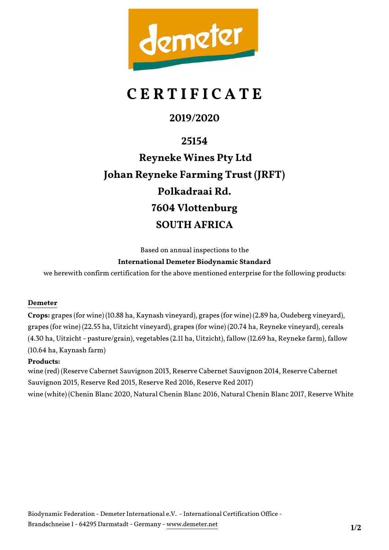

# **C E R T I F I C A T E**

### **2019/2020**

**25154 Reyneke Wines Pty Ltd Johan Reyneke Farming Trust (JRFT) Polkadraai Rd. 7604 Vlottenburg SOUTH AFRICA**

Based on annual inspections to the

#### **International Demeter Biodynamic Standard**

we herewith confirm certification for the above mentioned enterprise for the following products:

#### **Demeter**

**Crops:** grapes (for wine) (10.88 ha, Kaynash vineyard), grapes (for wine) (2.89 ha, Oudeberg vineyard), grapes (for wine) (22.55 ha, Uitzicht vineyard), grapes (for wine) (20.74 ha, Reyneke vineyard), cereals (4.30 ha, Uitzicht - pasture/grain), vegetables (2.11 ha, Uitzicht), fallow (12.69 ha, Reyneke farm), fallow (10.64 ha, Kaynash farm)

#### **Products:**

wine (red) (Reserve Cabernet Sauvignon 2013, Reserve Cabernet Sauvignon 2014, Reserve Cabernet Sauvignon 2015, Reserve Red 2015, Reserve Red 2016, Reserve Red 2017) wine (white) (Chenin Blanc 2020, Natural Chenin Blanc 2016, Natural Chenin Blanc 2017, Reserve White